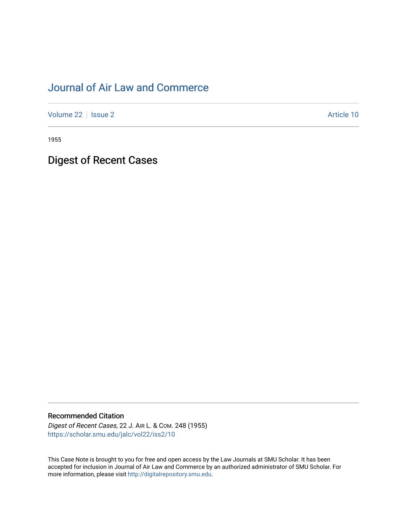# [Journal of Air Law and Commerce](https://scholar.smu.edu/jalc)

[Volume 22](https://scholar.smu.edu/jalc/vol22) | [Issue 2](https://scholar.smu.edu/jalc/vol22/iss2) Article 10

1955

Digest of Recent Cases

## Recommended Citation

Digest of Recent Cases, 22 J. AIR L. & COM. 248 (1955) [https://scholar.smu.edu/jalc/vol22/iss2/10](https://scholar.smu.edu/jalc/vol22/iss2/10?utm_source=scholar.smu.edu%2Fjalc%2Fvol22%2Fiss2%2F10&utm_medium=PDF&utm_campaign=PDFCoverPages)

This Case Note is brought to you for free and open access by the Law Journals at SMU Scholar. It has been accepted for inclusion in Journal of Air Law and Commerce by an authorized administrator of SMU Scholar. For more information, please visit [http://digitalrepository.smu.edu](http://digitalrepository.smu.edu/).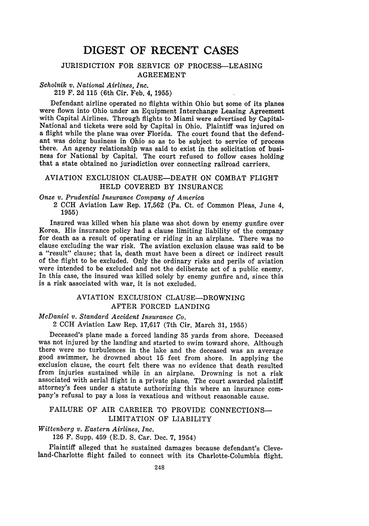## **DIGEST** OF **RECENT CASES**

#### JURISDICTION FOR SERVICE OF PROCESS-LEASING AGREEMENT

#### *Scholnik v. National Airlines, Inc.*

219 F. 2d 115 (6th Cir. Feb. 4, 1955)

Defendant airline operated no flights within Ohio but some of its planes were flown into Ohio under an Equipment Interchange Leasing Agreement with Capital Airlines. Through flights to Miami were advertised by Capital-National and tickets were sold by Capital in Ohio. Plaintiff was injured on a flight while the plane was over Florida. The court found that the defendant was doing business in Ohio so as to be subject to service of process there. An agency relationship was said to exist in the solicitation of business for National by Capital. The court refused to follow cases holding that a state obtained no jurisdiction over connecting railroad carriers.

#### AVIATION EXCLUSION CLAUSE-DEATH ON COMBAT FLIGHT HELD COVERED BY INSURANCE

*Onze v. Prudential Insurance Company of America*

2 CCH Aviation Law Rep. 17,562 (Pa. Ct. of Common Pleas, June 4, **1955)**

Insured was killed when his plane was shot down by enemy gunfire over Korea. His insurance policy had a clause limiting liability of the company for death as a result of operating or riding in an airplane. There was no clause excluding the war risk. The aviation exclusion clause was said to be a "result" clause; that is, death must have been a direct or indirect result of the flight to be excluded. Only the ordinary risks and perils of aviation were intended to be excluded and not the deliberate act of a public enemy. In this case, the insured was killed solely by enemy gunfire and, since this is a risk associated with war, it is not excluded.

## AVIATION EXCLUSION CLAUSE-DROWNING AFTER FORCED LANDING

## *McDaniel v. Standard Accident Insurance Co.*

2 CCH Aviation Law Rep. 17,617 (7th Cir. March **31,** 1955)

Deceased's plane made a forced landing 35 yards from shore. Deceased was not injured by the landing and started to swim toward shore. Although there were no turbulences in the lake and the deceased was an average good swimmer, he drowned about 15 feet from shore. In applying the exclusion clause, the court felt there was no evidence that death resulted from injuries sustained while in an airplane. Drowning is not a risk associated with aerial flight in a private plane. The court awarded plaintiff attorney's fees under a statute authorizing this where an insurance company's refusal to pay a loss is vexatious and without reasonable cause.

## FAILURE OF AIR CARRIER TO PROVIDE CONNECTIONS-LIMITATION OF LIABILITY

#### *Wittenberg v. Eastern Airlines, Inc.*

126 F. Supp. 459 (E.D. S. Car. Dec. 7, 1954)

Plaintiff alleged that he sustained damages because defendant's Cleveland-Charlotte flight failed to connect with its Charlotte-Columbia flight.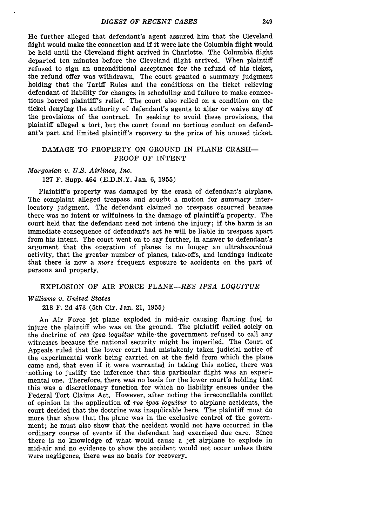He further alleged that defendant's agent assured him that the Cleveland flight would make the connection and if it were late the Columbia flight would be held until the Cleveland flight arrived in Charlotte. The Columbia flight departed ten minutes before the Cleveland flight arrived. When plaintiff refused to sign an unconditional acceptance for the refund of his ticket, the refund offer was withdrawn. The court granted a summary judgment holding that the Tariff Rules and the conditions on the ticket relieving defendant of liability for changes in scheduling and failure to make connections barred plaintiff's relief. The court also relied on a condition on the ticket denying the authority of defendant's agents to alter or waive any of the provisions of the contract. In seeking to avoid these provisions, the plaintiff alleged a tort, but the court found no tortious conduct on defendant's part and limited plaintiff's recovery to the price of his unused ticket.

#### DAMAGE TO PROPERTY ON GROUND IN PLANE CRASH-PROOF OF INTENT

#### *Margosian v. U.S. Airlines, Inc.*

127 F. Supp. 464 (E.D.N.Y. Jan. 6, 1955)

Plaintiff's property was damaged by the crash of defendant's airplane. The complaint alleged trespass and sought a motion for summary interlocutory judgment. The defendant claimed no trespass occurred because there was no intent or wilfulness in the damage of plaintiff's property. The court held that the defendant need not intend the injury; if the harm is an immediate consequence of defendant's act he will be liable in trespass apart from his intent. The court went on to say further, in answer to defendant's argument that the operation of planes is no longer an ultrahazardous activity, that the greater number of planes, take-offs, and landings indicate that there is now a *more* frequent exposure to accidents on the part of persons and property.

#### EXPLOSION OF AIR FORCE PLANE-RES *IPSA LOQUITUR*

#### *Williams v. United States*

218 F. 2d 473 (5th Cir. Jan. 21, 1955)

An Air Force jet plane exploded in mid-air causing flaming fuel to injure the plaintiff who was on the ground. The plaintiff relied solely on the doctrine of *res ipsa loquitur* while' the government refused to call any witnesses because the national security might be imperiled. The Court of Appeals ruled that the lower court had mistakenly taken judicial notice of the experimental work being carried on at the field from which the plane came and, that even if it were warranted in taking this notice, there was nothing to justify the inference that this particular flight was an experimental one. Therefore, there was no basis for the lower court's holding that this was a discretionary function for which no liability ensues under the Federal Tort Claims Act. However, after noting the irreconcilable conflict of opinion in the application of *res ipsa loquitur* to airplane accidents, the court decided that the doctrine was inapplicable here. The plaintiff must do more than show that the plane was in the exclusive control of the government; he must also show that the accident would not have occurred in the ordinary course of events if the defendant had exercised due care. Since there is no knowledge of what would cause a jet airplane to explode in mid-air and no evidence to show the accident would not occur unless there were negligence, there was no basis for recovery.